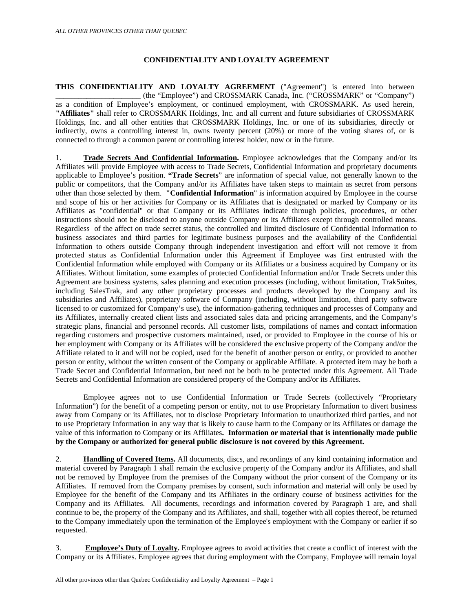## **CONFIDENTIALITY AND LOYALTY AGREEMENT**

**THIS CONFIDENTIALITY AND LOYALTY AGREEMENT** ("Agreement") is entered into between (the "Employee") and CROSSMARK Canada, Inc. ("CROSSMARK" or "Company") as a condition of Employee's employment, or continued employment, with CROSSMARK. As used herein, **"Affiliates"** shall refer to CROSSMARK Holdings, Inc. and all current and future subsidiaries of CROSSMARK Holdings, Inc. and all other entities that CROSSMARK Holdings, Inc. or one of its subsidiaries, directly or indirectly, owns a controlling interest in, owns twenty percent (20%) or more of the voting shares of, or is connected to through a common parent or controlling interest holder, now or in the future.

1. **Trade Secrets And Confidential Information.** Employee acknowledges that the Company and/or its Affiliates will provide Employee with access to Trade Secrets, Confidential Information and proprietary documents applicable to Employee's position. **"Trade Secrets**" are information of special value, not generally known to the public or competitors, that the Company and/or its Affiliates have taken steps to maintain as secret from persons other than those selected by them. **"Confidential Information**" is information acquired by Employee in the course and scope of his or her activities for Company or its Affiliates that is designated or marked by Company or its Affiliates as "confidential" or that Company or its Affiliates indicate through policies, procedures, or other instructions should not be disclosed to anyone outside Company or its Affiliates except through controlled means. Regardless of the affect on trade secret status, the controlled and limited disclosure of Confidential Information to business associates and third parties for legitimate business purposes and the availability of the Confidential Information to others outside Company through independent investigation and effort will not remove it from protected status as Confidential Information under this Agreement if Employee was first entrusted with the Confidential Information while employed with Company or its Affiliates or a business acquired by Company or its Affiliates. Without limitation, some examples of protected Confidential Information and/or Trade Secrets under this Agreement are business systems, sales planning and execution processes (including, without limitation, TrakSuites, including SalesTrak, and any other proprietary processes and products developed by the Company and its subsidiaries and Affiliates), proprietary software of Company (including, without limitation, third party software licensed to or customized for Company's use), the information-gathering techniques and processes of Company and its Affiliates, internally created client lists and associated sales data and pricing arrangements, and the Company's strategic plans, financial and personnel records. All customer lists, compilations of names and contact information regarding customers and prospective customers maintained, used, or provided to Employee in the course of his or her employment with Company or its Affiliates will be considered the exclusive property of the Company and/or the Affiliate related to it and will not be copied, used for the benefit of another person or entity, or provided to another person or entity, without the written consent of the Company or applicable Affiliate. A protected item may be both a Trade Secret and Confidential Information, but need not be both to be protected under this Agreement. All Trade Secrets and Confidential Information are considered property of the Company and/or its Affiliates.

Employee agrees not to use Confidential Information or Trade Secrets (collectively "Proprietary Information") for the benefit of a competing person or entity, not to use Proprietary Information to divert business away from Company or its Affiliates, not to disclose Proprietary Information to unauthorized third parties, and not to use Proprietary Information in any way that is likely to cause harm to the Company or its Affiliates or damage the value of this information to Company or its Affiliates**. Information or material that is intentionally made public by the Company or authorized for general public disclosure is not covered by this Agreement.** 

2. **Handling of Covered Items.** All documents, discs, and recordings of any kind containing information and material covered by Paragraph 1 shall remain the exclusive property of the Company and/or its Affiliates, and shall not be removed by Employee from the premises of the Company without the prior consent of the Company or its Affiliates. If removed from the Company premises by consent, such information and material will only be used by Employee for the benefit of the Company and its Affiliates in the ordinary course of business activities for the Company and its Affiliates. All documents, recordings and information covered by Paragraph 1 are, and shall continue to be, the property of the Company and its Affiliates, and shall, together with all copies thereof, be returned to the Company immediately upon the termination of the Employee's employment with the Company or earlier if so requested.

3. **Employee's Duty of Loyalty.** Employee agrees to avoid activities that create a conflict of interest with the Company or its Affiliates. Employee agrees that during employment with the Company, Employee will remain loyal